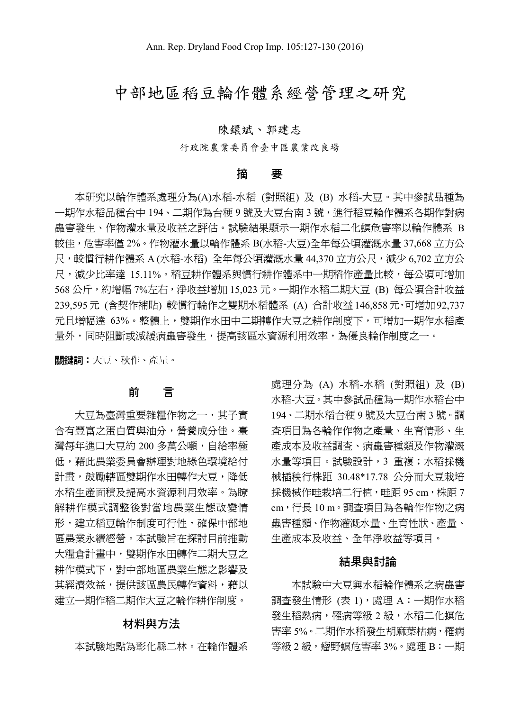# 中部地區稻豆輪作體系經營管理之研究

### 陳鐶斌、郭建志

行政院農業委員會臺中區農業改良場

#### 摘 要

本研究以輪作體系處理分為(A)水稻-水稻 (對照組) 及 (B) 水稻-大豆。其中參試品種為 一期作水稻品種台中 194、二期作為台稉 9 號及大豆台南 3 號,進行稻豆輪作體系各期作對病 蟲害發生、作物灌水量及收益之評估。試驗結果顯示一期作水稻二化螟危害率以輪作體系 B 較佳,危害率僅 2%。作物灌水量以輪作體系 B(水稻-大豆)全年每公頃灌溉水量 37,668 立方公 尺,較慣行耕作體系 A (水稻-水稻) 全年每公頃灌溉水量 44,370 立方公尺,減少 6,702 立方公 尺,減少比率達 15.11%。稻豆耕作體系與慣行耕作體系中一期稻作產量比較,每公頃可增加 568 公斤,約增幅 7%左右,淨收益增加 15,023 元。一期作水稻二期大豆 (B) 每公頃合計收益 239,595 元 (含契作補貼) 較慣行輪作之雙期水稻體系 (A) 合計收益 146,858 元,可增加 92,737 元且增幅達 63%。整體上,雙期作水田中二期轉作大豆之耕作制度下,可增加一期作水稻產 量外,同時阻斷或減緩病蟲害發生,提高該區水資源利用效率,為優良輪作制度之一。

關鍵詞︰大豆、秋作、產量。

# 前 言

大豆為臺灣重要雜糧作物之一,其子實 含有豐富之蛋白質與油分,營養成分佳。臺 灣每年進口大豆約 200 多萬公噸,自給率極 低,藉此農業委員會辦理對地綠色環境給付 計畫,鼓勵轄區雙期作水田轉作大豆,降低 水稻生產面積及提高水資源利用效率。為瞭 解耕作模式調整後對當地農業生態改變情 形,建立稻豆輪作制度可行性,確保中部地 區農業永續經營。本試驗旨在探討目前推動 大糧倉計畫中,雙期作水田轉作二期大豆之 耕作模式下,對中部地區農業生態之影響及 其經濟效益,提供該區農民轉作資料,藉以 建立一期作稻二期作大豆之輪作耕作制度。

## 材料與方法

本試驗地點為彰化縣二林。在輪作體系

處理分為 (A) 水稻-水稻 (對照組) 及 (B) 水稻-大豆。其中參試品種為一期作水稻台中 194、二期水稻台稉 9 號及大豆台南 3 號。調 查項目為各輪作作物之產量、生育情形、生 產成本及收益調查、病蟲害種類及作物灌溉 水量等項目。試驗設計,3 重複;水稻採機 械插秧行株距 30.48\*17.78 公分而大豆栽培 採機械作畦栽培二行植,畦距 95 cm,株距 7 cm,行長 10 m。調查項目為各輪作作物之病 蟲害種類、作物灌溉水量、生育性狀、產量、 生產成本及收益、全年淨收益等項目。

# 結果與討論

本試驗中大豆與水稻輪作體系之病蟲害 調查發生情形 (表 1),處理 A:一期作水稻 發生稻熱病,罹病等級 2 級,水稻二化螟危 害率 5%。二期作水稻發生胡麻葉枯病,罹病 等級 2 級,瘤野螟危害率 3%。處理 B:一期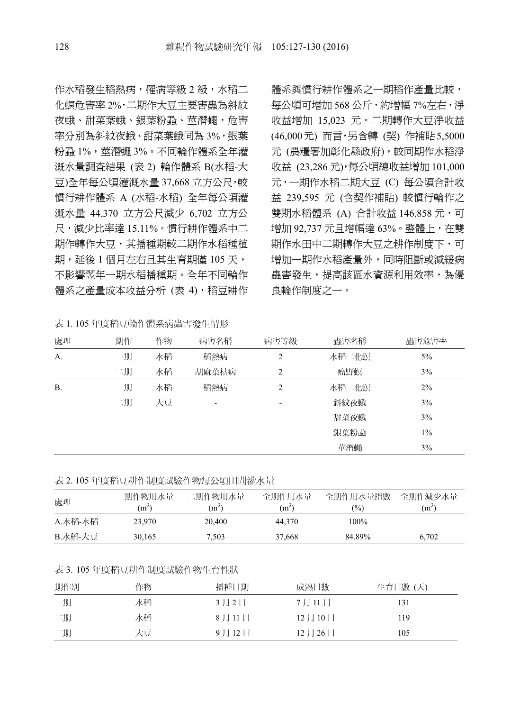作水稻發生稻熱病,罹病等級 2 級,水稻二 化螟危害率 2%,二期作大豆主要害蟲為斜紋 夜蛾、甜菜葉蛾、銀葉粉蝨、莖潛蠅,危害 率分別為斜紋夜蛾、甜菜葉蛾同為 3%,銀葉 粉蝨 1%,莖潛蠅 3%。不同輪作體系全年灌 溉水量調查結果 (表 2) 輪作體系 B(水稻-大 豆)全年每公頃灌溉水量 37,668 立方公尺,較 慣行耕作體系 A (水稻-水稻) 全年每公頃灌 溉水量 44,370 立方公尺減少 6,702 立方公 尺,減少比率達 15.11%。慣行耕作體系中二 期作轉作大豆,其播種期較二期作水稻種植 期,延後1個月左右且其生育期僅 105天, 不影響翌年一期水稻播種期。全年不同輪作 體系之產量成本收益分析 (表 4),稻豆耕作

表 1. 105 年度稻豆輪作體系病蟲害發生情形

體系與慣行耕作體系之一期稻作產量比較, 每公頃可增加 568 公斤,約增幅 7%左右,淨 收益增加 15,023 元。二期轉作大豆淨收益 (46,000元) 而言,另含轉 (契) 作補貼5,5000 元 (農糧署加彰化縣政府),較同期作水稻淨 收益 (23,286 元),每公頃總收益增加 101,000 元,一期作水稻二期大豆 (C) 每公頃合計收 益 239,595 元 (含契作補貼) 較慣行輪作之 雙期水稻體系 (A) 合計收益 146,858 元,可 增加 92,737 元且增幅達 63%。整體上,在雙 期作水田中二期轉作大豆之耕作制度下,可 增加一期作水稻產量外,同時阻斷或減緩病 蟲害發生,提高該區水資源利用效率,為優 良輪作制度之一。

| 處理        | 期作 | 作物 | 病害名稱  | 病害等級 | 蟲害名稱  | 蟲害危害率 |
|-----------|----|----|-------|------|-------|-------|
| $A$ .     | 一期 | 水稻 | 稻熱病   | 2    | 水稻二化螟 | $5\%$ |
|           | 二期 | 水稻 | 胡麻葉枯病 | 2    | 瘤野螟   | 3%    |
| <b>B.</b> | 一期 | 水稻 | 稻熱病   | 2    | 水稻二化螟 | 2%    |
|           | 二期 | 大豆 | -     |      | 斜紋夜蛾  | 3%    |
|           |    |    |       |      | 甜菜夜蛾  | 3%    |
|           |    |    |       |      | 銀葉粉蝨  | $1\%$ |
|           |    |    |       |      | 莖潛蠅   | 3%    |

表 2. 105 年度稻豆耕作制度試驗作物每公頃田間灌水量

| 處理      | 一期作物用水量        | 二期作物用水量 | 全期作用水量  | 全期作用水量指數      | 全期作減少水量           |
|---------|----------------|---------|---------|---------------|-------------------|
|         | $\mathbf{m}^3$ | m'      | $(m^3)$ | $\frac{1}{2}$ | (m <sup>3</sup> ) |
| A.水稻-水稻 | 23.970         | 20.400  | 44.370  | $100\%$       |                   |
| B.水稻-大豆 | 30.165         | 7.503   | 37,668  | 84.89%        | 6.702             |

#### 表 3. 105 年度稻豆耕作制度試驗作物生育性狀

| 期作別 | 作物 | 播種日期  | 成熟日數   | 生育日數 (天) |
|-----|----|-------|--------|----------|
| 一期  | 水稻 | 3月2日  | 7月11日  | 131      |
| 二期  | 水稻 | 8月11日 | 12月10日 | 119      |
| 二期  | 大豆 | 9月12日 | 12月26日 | 105      |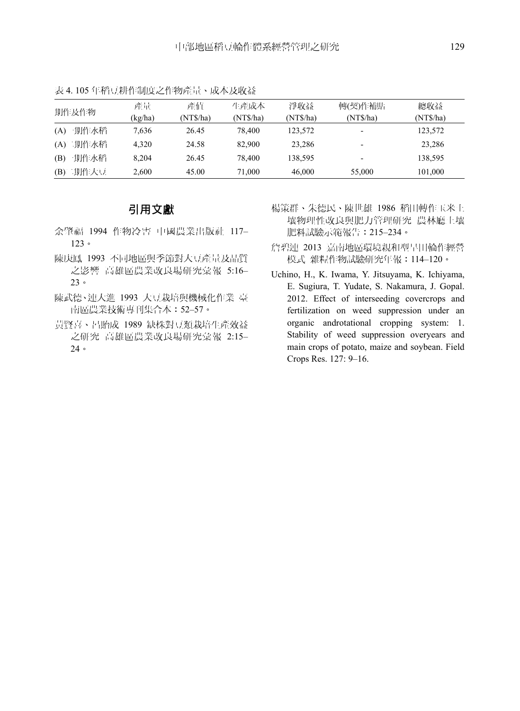| 期作及作物    | 產量<br>(kg/ha) | 產值<br>(NT\$/ha) | 牛產成本<br>(NTS/ha) | 淨收益<br>(NT\$/ha) | 轉(契)作補貼<br>(NT\$/ha) | 總收益<br>(NTS/ha) |
|----------|---------------|-----------------|------------------|------------------|----------------------|-----------------|
| (A)一期作水稻 | 7.636         | 26.45           | 78.400           | 123.572          |                      | 123,572         |
| (A)二期作水稻 | 4.320         | 24.58           | 82,900           | 23.286           |                      | 23,286          |
| (B)一期作水稻 | 8.204         | 26.45           | 78.400           | 138.595          |                      | 138,595         |
| (B)二期作大豆 | 2,600         | 45.00           | 71.000           | 46,000           | 55,000               | 101,000         |

表 4. 105 年稻豆耕作制度之作物產量、成本及收益

# 引用文獻

- 余肇福 1994 作物冷害 中國農業出版社 117– 123。
- 陳庚鳳 1993 不同地區與季節對大豆產量及品質 之影響 高雄區農業改良場研究彙報 5:16– 23。
- 陳武德、連大進 1993 大豆栽培與機械化作業 臺 南區農業技術專刊集合本:52–57。
- 黃賢喜、呂貽成 1989 缺株對豆類栽培生產效益 之研究 高雄區農業改良場研究彙報 2:15– 24。
- 楊策群、朱德民、陳世雄 1986 稻田轉作玉米土 壤物理性改良與肥力管理研究 農林廳土壤 肥料試驗示範報告:215–234。
- 詹碧連 2013 嘉南地區環境親和型旱田輪作經營 模式 雜糧作物試驗研究年報:114–120。
- Uchino, H., K. Iwama, Y. Jitsuyama, K. Ichiyama, E. Sugiura, T. Yudate, S. Nakamura, J. Gopal. 2012. Effect of interseeding covercrops and fertilization on weed suppression under an organic androtational cropping system: 1. Stability of weed suppression overyears and main crops of potato, maize and soybean. Field Crops Res. 127: 9–16.